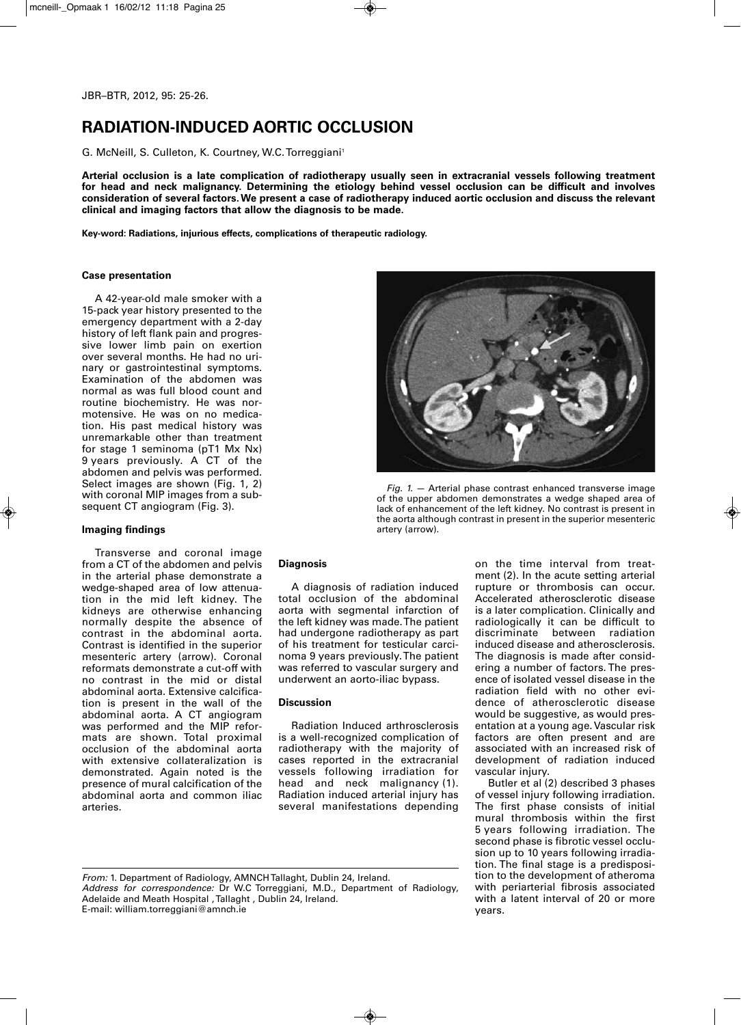# **RADIATION-INDUCED AORTIC OCCLUSION**

G. McNeill, S. Culleton, K. Courtney, W.C.Torreggiani 1

**Arterial occlusion is a late complication of radiotherapy usually seen in extracranial vessels following treatment for head and neck malignancy. Determining the etiology behind vessel occlusion can be difficult and involves** consideration of several factors. We present a case of radiotherapy induced aortic occlusion and discuss the relevant **clinical and imaging factors that allow the diagnosis to be made.**

**Key-word: Radiations, injurious effects, complications of therapeutic radiology.**

## **Case presentation**

A 42-year-old male smoker with a 15-pack year history presented to the emergency department with a 2-day history of left flank pain and progressive lower limb pain on exertion over several months. He had no urinary or gastrointestinal symptoms. Examination of the abdomen was normal as was full blood count and routine biochemistry. He was normotensive. He was on no medication. His past medical history was unremarkable other than treatment for stage 1 seminoma (pT1 Mx Nx) 9 years previously. A CT of the abdomen and pelvis was performed. Select images are shown (Fig. 1, 2) with coronal MIP images from a subsequent CT angiogram (Fig. 3).

## **Imaging findings**

Transverse and coronal image from a CT of the abdomen and pelvis in the arterial phase demonstrate a wedge-shaped area of low attenuation in the mid left kidney. The kidneys are otherwise enhancing normally despite the absence of contrast in the abdominal aorta. Contrast is identified in the superior mesenteric artery (arrow). Coronal reformats demonstrate a cut-off with no contrast in the mid or distal abdominal aorta. Extensive calcification is present in the wall of the abdominal aorta. A CT angiogram was performed and the MIP reformats are shown. Total proximal occlusion of the abdominal aorta with extensive collateralization is demonstrated. Again noted is the presence of mural calcification of the abdominal aorta and common iliac arteries.



*Fig. 1.* — Arterial phase contrast enhanced transverse image of the upper abdomen demonstrates a wedge shaped area of lack of enhancement of the left kidney. No contrast is present in the aorta although contrast in present in the superior mesenteric artery (arrow).

## **Diagnosis**

A diagnosis of radiation induced total occlusion of the abdominal aorta with segmental infarction of the left kidney was made.The patient had undergone radiotherapy as part of his treatment for testicular carcinoma 9 years previously.The patient was referred to vascular surgery and underwent an aorto-iliac bypass.

### **Discussion**

Radiation Induced arthrosclerosis is a well-recognized complication of radiotherapy with the majority of cases reported in the extracranial vessels following irradiation for head and neck malignancy (1). Radiation induced arterial injury has several manifestations depending

on the time interval from treatment (2). In the acute setting arterial rupture or thrombosis can occur. Accelerated atherosclerotic disease is a later complication. Clinically and radiologically it can be difficult to discriminate between radiation induced disease and atherosclerosis. The diagnosis is made after considering a number of factors. The presence of isolated vessel disease in the radiation field with no other evidence of atherosclerotic disease would be suggestive, as would presentation at a young age.Vascular risk factors are often present and are associated with an increased risk of development of radiation induced vascular injury.

Butler et al (2) described 3 phases of vessel injury following irradiation. The first phase consists of initial mural thrombosis within the first 5 years following irradiation. The second phase is fibrotic vessel occlusion up to 10 years following irradiation. The final stage is a predisposition to the development of atheroma with periarterial fibrosis associated with a latent interval of 20 or more years.

E-mail: william.torreggiani@amnch.ie

*From:* 1. Department of Radiology, AMNCHTallaght, Dublin 24, Ireland.

*Address for correspondence:* Dr W.C Torreggiani, M.D., Department of Radiology, Adelaide and Meath Hospital , Tallaght , Dublin 24, Ireland.